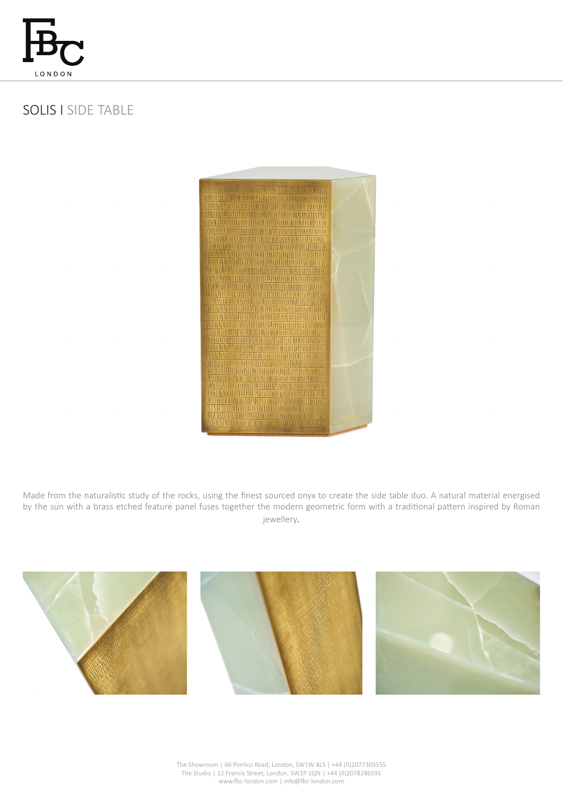

## SOLIS I SIDE TABLE



Made from the naturalistic study of the rocks, using the finest sourced onyx to create the side table duo. A natural material energised by the sun with a brass etched feature panel fuses together the modern geometric form with a traditional pattern inspired by Roman jewellery.



The Showroom | 66 Pimlico Road, London, SW1W 8LS | +44 (0)2077309555 The Studio | 12 Francis Street, London, SW1P 1QN | +44 (0)2078286591 www.fbc-london.com | info@fbc-london.com